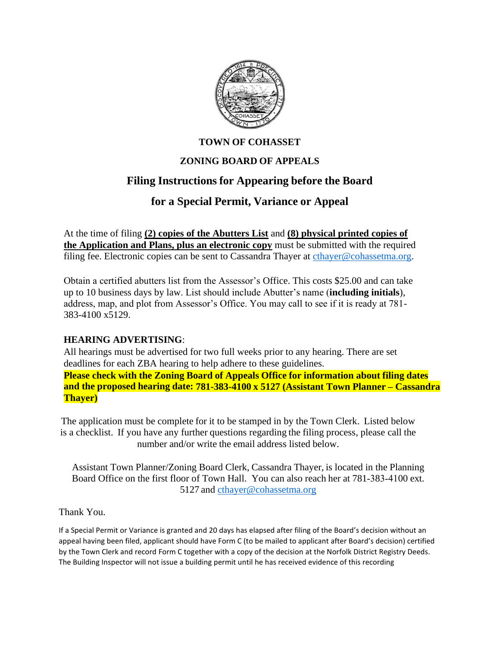

#### **TOWN OF COHASSET**

## **ZONING BOARD OF APPEALS**

# **Filing Instructions for Appearing before the Board**

# **for a Special Permit, Variance or Appeal**

At the time of filing **(2) copies of the Abutters List** and **(8) physical printed copies of the Application and Plans, plus an electronic copy** must be submitted with the required filing fee. Electronic copies can be sent to Cassandra Thayer at [cthayer@cohassetma.org.](mailto:cthayer@cohassetma.org)

Obtain a certified abutters list from the Assessor's Office. This costs \$25.00 and can take up to 10 business days by law. List should include Abutter's name (**including initials**), address, map, and plot from Assessor's Office. You may call to see if it is ready at 781- 383-4100 x5129.

#### **HEARING ADVERTISING**:

All hearings must be advertised for two full weeks prior to any hearing. There are set deadlines for each ZBA hearing to help adhere to these guidelines. **Please check with the Zoning Board of Appeals Office for information about filing dates and the proposed hearing date: 781-383-4100 x 5127 (Assistant Town Planner – Cassandra Thayer)**

The application must be complete for it to be stamped in by the Town Clerk. Listed below is a checklist. If you have any further questions regarding the filing process, please call the number and/or write the email address listed below.

Assistant Town Planner/Zoning Board Clerk, Cassandra Thayer, is located in the Planning Board Office on the first floor of Town Hall. You can also reach her at 781–383–4100 ext. 5127 and [cthayer@cohassetma.org](mailto:cthayer@cohassetma.org)

Thank You.

If a Special Permit or Variance is granted and 20 days has elapsed after filing of the Board's decision without an appeal having been filed, applicant should have Form C (to be mailed to applicant after Board's decision) certified by the Town Clerk and record Form C together with a copy of the decision at the Norfolk District Registry Deeds. The Building Inspector will not issue a building permit until he has received evidence of this recording